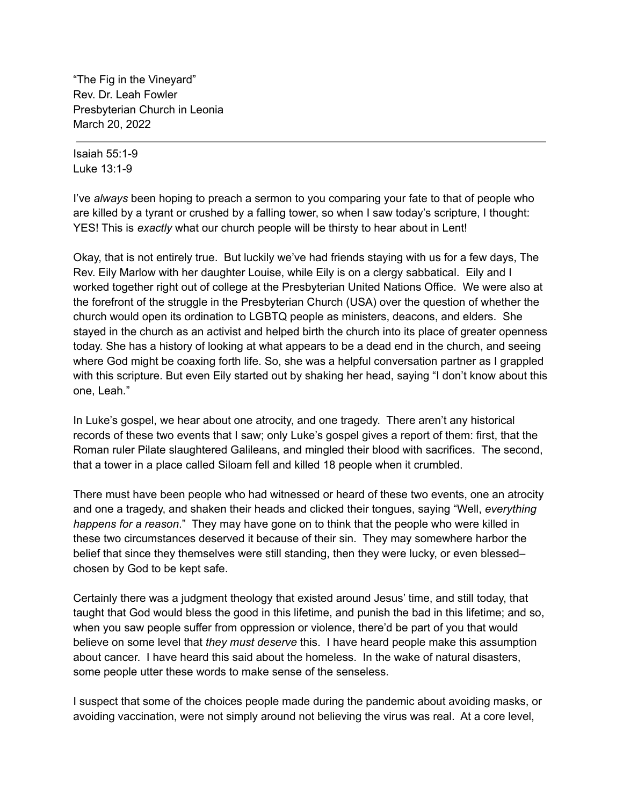"The Fig in the Vineyard" Rev. Dr. Leah Fowler Presbyterian Church in Leonia March 20, 2022

Isaiah 55:1-9 Luke 13:1-9

I've *always* been hoping to preach a sermon to you comparing your fate to that of people who are killed by a tyrant or crushed by a falling tower, so when I saw today's scripture, I thought: YES! This is *exactly* what our church people will be thirsty to hear about in Lent!

Okay, that is not entirely true. But luckily we've had friends staying with us for a few days, The Rev. Eily Marlow with her daughter Louise, while Eily is on a clergy sabbatical. Eily and I worked together right out of college at the Presbyterian United Nations Office. We were also at the forefront of the struggle in the Presbyterian Church (USA) over the question of whether the church would open its ordination to LGBTQ people as ministers, deacons, and elders. She stayed in the church as an activist and helped birth the church into its place of greater openness today. She has a history of looking at what appears to be a dead end in the church, and seeing where God might be coaxing forth life. So, she was a helpful conversation partner as I grappled with this scripture. But even Eily started out by shaking her head, saying "I don't know about this one, Leah."

In Luke's gospel, we hear about one atrocity, and one tragedy. There aren't any historical records of these two events that I saw; only Luke's gospel gives a report of them: first, that the Roman ruler Pilate slaughtered Galileans, and mingled their blood with sacrifices. The second, that a tower in a place called Siloam fell and killed 18 people when it crumbled.

There must have been people who had witnessed or heard of these two events, one an atrocity and one a tragedy, and shaken their heads and clicked their tongues, saying "Well, *everything happens for a reason*." They may have gone on to think that the people who were killed in these two circumstances deserved it because of their sin. They may somewhere harbor the belief that since they themselves were still standing, then they were lucky, or even blessed– chosen by God to be kept safe.

Certainly there was a judgment theology that existed around Jesus' time, and still today, that taught that God would bless the good in this lifetime, and punish the bad in this lifetime; and so, when you saw people suffer from oppression or violence, there'd be part of you that would believe on some level that *they must deserve* this. I have heard people make this assumption about cancer. I have heard this said about the homeless. In the wake of natural disasters, some people utter these words to make sense of the senseless.

I suspect that some of the choices people made during the pandemic about avoiding masks, or avoiding vaccination, were not simply around not believing the virus was real. At a core level,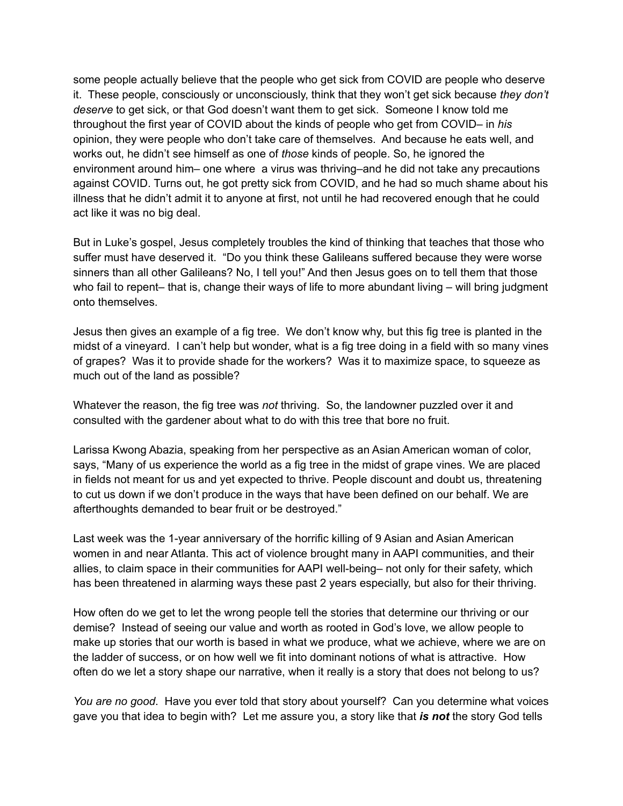some people actually believe that the people who get sick from COVID are people who deserve it. These people, consciously or unconsciously, think that they won't get sick because *they don't deserve* to get sick, or that God doesn't want them to get sick. Someone I know told me throughout the first year of COVID about the kinds of people who get from COVID– in *his* opinion, they were people who don't take care of themselves. And because he eats well, and works out, he didn't see himself as one of *those* kinds of people. So, he ignored the environment around him– one where a virus was thriving–and he did not take any precautions against COVID. Turns out, he got pretty sick from COVID, and he had so much shame about his illness that he didn't admit it to anyone at first, not until he had recovered enough that he could act like it was no big deal.

But in Luke's gospel, Jesus completely troubles the kind of thinking that teaches that those who suffer must have deserved it. "Do you think these Galileans suffered because they were worse sinners than all other Galileans? No, I tell you!" And then Jesus goes on to tell them that those who fail to repent– that is, change their ways of life to more abundant living – will bring judgment onto themselves.

Jesus then gives an example of a fig tree. We don't know why, but this fig tree is planted in the midst of a vineyard. I can't help but wonder, what is a fig tree doing in a field with so many vines of grapes? Was it to provide shade for the workers? Was it to maximize space, to squeeze as much out of the land as possible?

Whatever the reason, the fig tree was *not* thriving. So, the landowner puzzled over it and consulted with the gardener about what to do with this tree that bore no fruit.

Larissa Kwong Abazia, speaking from her perspective as an Asian American woman of color, says, "Many of us experience the world as a fig tree in the midst of grape vines. We are placed in fields not meant for us and yet expected to thrive. People discount and doubt us, threatening to cut us down if we don't produce in the ways that have been defined on our behalf. We are afterthoughts demanded to bear fruit or be destroyed."

Last week was the 1-year anniversary of the horrific killing of 9 Asian and Asian American women in and near Atlanta. This act of violence brought many in AAPI communities, and their allies, to claim space in their communities for AAPI well-being– not only for their safety, which has been threatened in alarming ways these past 2 years especially, but also for their thriving.

How often do we get to let the wrong people tell the stories that determine our thriving or our demise? Instead of seeing our value and worth as rooted in God's love, we allow people to make up stories that our worth is based in what we produce, what we achieve, where we are on the ladder of success, or on how well we fit into dominant notions of what is attractive. How often do we let a story shape our narrative, when it really is a story that does not belong to us?

*You are no good*. Have you ever told that story about yourself? Can you determine what voices gave you that idea to begin with? Let me assure you, a story like that *is not* the story God tells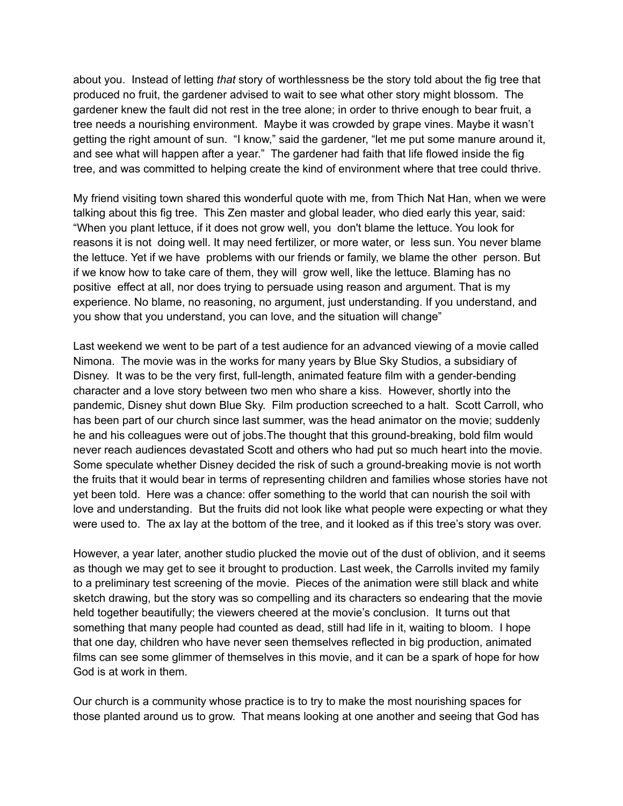about you. Instead of letting *that* story of worthlessness be the story told about the fig tree that produced no fruit, the gardener advised to wait to see what other story might blossom. The gardener knew the fault did not rest in the tree alone; in order to thrive enough to bear fruit, a tree needs a nourishing environment. Maybe it was crowded by grape vines. Maybe it wasn't getting the right amount of sun. "I know," said the gardener, "let me put some manure around it, and see what will happen after a year." The gardener had faith that life flowed inside the fig tree, and was committed to helping create the kind of environment where that tree could thrive.

My friend visiting town shared this wonderful quote with me, from Thich Nat Han, when we were talking about this fig tree. This Zen master and global leader, who died early this year, said: "When you plant lettuce, if it does not grow well, you don't blame the lettuce. You look for reasons it is not doing well. It may need fertilizer, or more water, or less sun. You never blame the lettuce. Yet if we have problems with our friends or family, we blame the other person. But if we know how to take care of them, they will grow well, like the lettuce. Blaming has no positive effect at all, nor does trying to persuade using reason and argument. That is my experience. No blame, no reasoning, no argument, just understanding. If you understand, and you show that you understand, you can love, and the situation will change"

Last weekend we went to be part of a test audience for an advanced viewing of a movie called Nimona. The movie was in the works for many years by Blue Sky Studios, a subsidiary of Disney. It was to be the very first, full-length, animated feature film with a gender-bending character and a love story between two men who share a kiss. However, shortly into the pandemic, Disney shut down Blue Sky. Film production screeched to a halt. Scott Carroll, who has been part of our church since last summer, was the head animator on the movie; suddenly he and his colleagues were out of jobs.The thought that this ground-breaking, bold film would never reach audiences devastated Scott and others who had put so much heart into the movie. Some speculate whether Disney decided the risk of such a ground-breaking movie is not worth the fruits that it would bear in terms of representing children and families whose stories have not yet been told. Here was a chance: offer something to the world that can nourish the soil with love and understanding. But the fruits did not look like what people were expecting or what they were used to. The ax lay at the bottom of the tree, and it looked as if this tree's story was over.

However, a year later, another studio plucked the movie out of the dust of oblivion, and it seems as though we may get to see it brought to production. Last week, the Carrolls invited my family to a preliminary test screening of the movie. Pieces of the animation were still black and white sketch drawing, but the story was so compelling and its characters so endearing that the movie held together beautifully; the viewers cheered at the movie's conclusion. It turns out that something that many people had counted as dead, still had life in it, waiting to bloom. I hope that one day, children who have never seen themselves reflected in big production, animated films can see some glimmer of themselves in this movie, and it can be a spark of hope for how God is at work in them.

Our church is a community whose practice is to try to make the most nourishing spaces for those planted around us to grow. That means looking at one another and seeing that God has